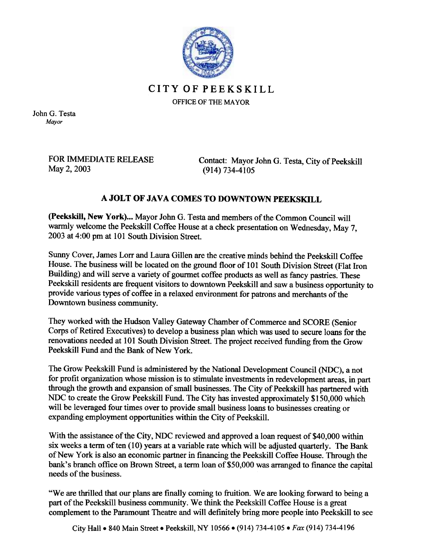

CITYOFPEEKSKILL OFFICE OF THE MAYOR

John G. Testa Mayor

> FOR IMMEDIATE RELEASE May 2, 2003

Contact: Mayor John G. Testa, City of Peekskill (914) 734-4105

## A JOLT OF JAVA COMES TO DOWNTOWN PEEKSKILL

(Peekskill, New York)... Mayor John G. Testa and members of the Common Council will warmly welcome the Peekskill Coffee House at a check presentation on Wednesday, May 7, 2003 at 4:00 pm at 101 South Division Street.

Sunny Cover, James Lorr and Laura Gillen are the creative minds behind the Peekskill Coffee House. The business will be located on the ground floor of 101 South Division Street (Flat Iron Building) and will serve a variety of gourmet coffee products as well as fancy pastries. These Peekskill residents are frequent visitors to downtown Peekskill and saw a business opportunity to provide various types of coffee in a relaxed environment for patrons and merchants of the Downtown business community.

They worked with the Hudson Valley Gateway Chamber of Commerce and SCORE (Senior Corps of Retired Executives) to develop a business plan which was used to secure loans for the renovations needed at 101 South Division Street. The project received funding from the Grow Peekskill Fund and the Bank of New York.

The Grow Peekskill Fund is administered by the National Development Council (NDC), a not for profit organization whose mission is to stimulate investments in redevelopment areas, in part through the growth and expansion of small businesses. The City of Peekskill has partnered with NDC to create the Grow Peekskill Fund. The City has invested approximately \$150,000 which will be leveraged four times over to provide small business loans to businesses creating or expanding employment opportunities within the City of Peekskill.

With the assistance of the City, NDC reviewed and approved a loan request of \$40,000 within six weeks a term of ten  $(10)$  years at a variable rate which will be adjusted quarterly. The Bank of New York is also an economic partner in fmancing the Peekskill Coffee House. Through the bank's branch office on Brown Street, a term loan of \$50,000 was arranged to finance the capital needs of the business.

"We are thrilled that our plans are finally coming to fruition. We are looking forward to being a part of the Peekskill business community. We think the Peekskill Coffee House is a great complement to the Paramount Theatre and will definitely bring more people into Peekskill to see

City Hall • 840 Main Street • Peekskill, NY 10566 • (914) 734-4105 • Fax (914) 734-4196